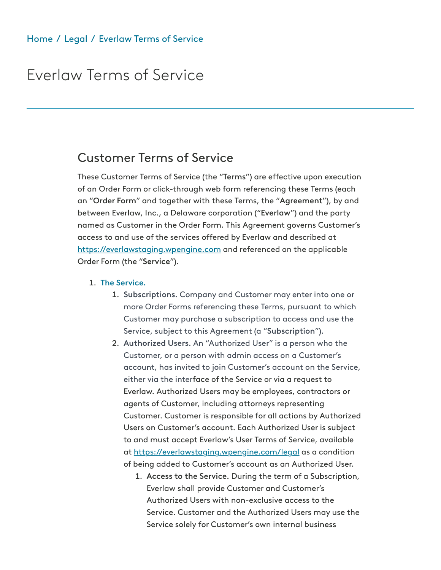# Everlaw Terms of Service

# Customer Terms of Service

These Customer Terms of Service (the "Terms") are effective upon execution of an Order Form or click-through web form referencing these Terms (each an "Order Form" and together with these Terms, the "Agreement"), by and between Everlaw, Inc., a Delaware corporation ("Everlaw") and the party named as Customer in the Order Form. This Agreement governs Customer's access to and use of the services offered by Everlaw and described at [https://everlawstaging.wpengine.com](https://everlawstaging.wpengine.com/) and referenced on the applicable Order Form (the "Service").

- 1. The Service.
	- 1. Subscriptions. Company and Customer may enter into one or more Order Forms referencing these Terms, pursuant to which Customer may purchase a subscription to access and use the Service, subject to this Agreement (a "Subscription").
	- 2. Authorized Users. An "Authorized User" is a person who the Customer, or a person with admin access on a Customer's account, has invited to join Customer's account on the Service, either via the interface of the Service or via a request to Everlaw. Authorized Users may be employees, contractors or agents of Customer, including attorneys representing Customer. Customer is responsible for all actions by Authorized Users on Customer's account. Each Authorized User is subject to and must accept Everlaw's User Terms of Service, available at <https://everlawstaging.wpengine.com/legal>as a condition of being added to Customer's account as an Authorized User.
		- 1. Access to the Service. During the term of a Subscription, Everlaw shall provide Customer and Customer's Authorized Users with non-exclusive access to the Service. Customer and the Authorized Users may use the Service solely for Customer's own internal business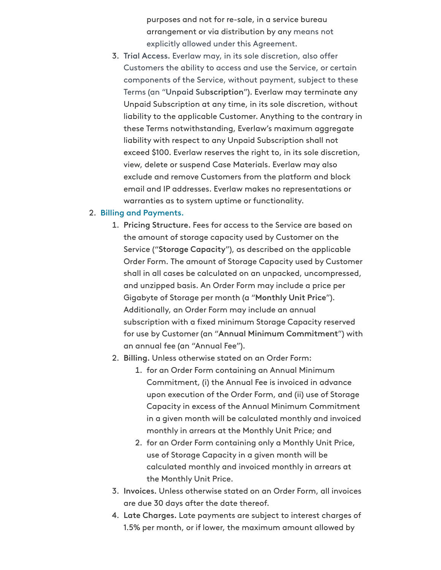purposes and not for re-sale, in a service bureau arrangement or via distribution by any means not explicitly allowed under this Agreement.

3. Trial Access. Everlaw may, in its sole discretion, also offer Customers the ability to access and use the Service, or certain components of the Service, without payment, subject to these Terms (an "Unpaid Subscription"). Everlaw may terminate any Unpaid Subscription at any time, in its sole discretion, without liability to the applicable Customer. Anything to the contrary in these Terms notwithstanding, Everlaw's maximum aggregate liability with respect to any Unpaid Subscription shall not exceed \$100. Everlaw reserves the right to, in its sole discretion, view, delete or suspend Case Materials. Everlaw may also exclude and remove Customers from the platform and block email and IP addresses. Everlaw makes no representations or warranties as to system uptime or functionality.

### 2. Billing and Payments.

- 1. Pricing Structure. Fees for access to the Service are based on the amount of storage capacity used by Customer on the Service ("Storage Capacity"), as described on the applicable Order Form. The amount of Storage Capacity used by Customer shall in all cases be calculated on an unpacked, uncompressed, and unzipped basis. An Order Form may include a price per Gigabyte of Storage per month (a "Monthly Unit Price"). Additionally, an Order Form may include an annual subscription with a fixed minimum Storage Capacity reserved for use by Customer (an "Annual Minimum Commitment") with an annual fee (an "Annual Fee").
- 2. Billing. Unless otherwise stated on an Order Form:
	- 1. for an Order Form containing an Annual Minimum Commitment, (i) the Annual Fee is invoiced in advance upon execution of the Order Form, and (ii) use of Storage Capacity in excess of the Annual Minimum Commitment in a given month will be calculated monthly and invoiced monthly in arrears at the Monthly Unit Price; and
	- 2. for an Order Form containing only a Monthly Unit Price, use of Storage Capacity in a given month will be calculated monthly and invoiced monthly in arrears at the Monthly Unit Price.
- 3. Invoices. Unless otherwise stated on an Order Form, all invoices are due 30 days after the date thereof.
- 4. Late Charges. Late payments are subject to interest charges of 1.5% per month, or if lower, the maximum amount allowed by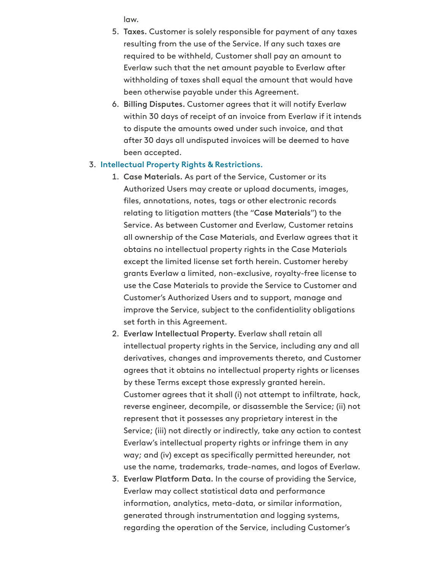law.

- 5. Taxes. Customer is solely responsible for payment of any taxes resulting from the use of the Service. If any such taxes are required to be withheld, Customer shall pay an amount to Everlaw such that the net amount payable to Everlaw after withholding of taxes shall equal the amount that would have been otherwise payable under this Agreement.
- 6. Billing Disputes. Customer agrees that it will notify Everlaw within 30 days of receipt of an invoice from Everlaw if it intends to dispute the amounts owed under such invoice, and that after 30 days all undisputed invoices will be deemed to have been accepted.

#### 3. Intellectual Property Rights & Restrictions.

- 1. Case Materials. As part of the Service, Customer or its Authorized Users may create or upload documents, images, files, annotations, notes, tags or other electronic records relating to litigation matters (the "Case Materials") to the Service. As between Customer and Everlaw, Customer retains all ownership of the Case Materials, and Everlaw agrees that it obtains no intellectual property rights in the Case Materials except the limited license set forth herein. Customer hereby grants Everlaw a limited, non-exclusive, royalty-free license to use the Case Materials to provide the Service to Customer and Customer's Authorized Users and to support, manage and improve the Service, subject to the confidentiality obligations set forth in this Agreement.
- 2. Everlaw Intellectual Property. Everlaw shall retain all intellectual property rights in the Service, including any and all derivatives, changes and improvements thereto, and Customer agrees that it obtains no intellectual property rights or licenses by these Terms except those expressly granted herein. Customer agrees that it shall (i) not attempt to infiltrate, hack, reverse engineer, decompile, or disassemble the Service; (ii) not represent that it possesses any proprietary interest in the Service; (iii) not directly or indirectly, take any action to contest Everlaw's intellectual property rights or infringe them in any way; and (iv) except as specifically permitted hereunder, not use the name, trademarks, trade-names, and logos of Everlaw.
- 3. Everlaw Platform Data. In the course of providing the Service, Everlaw may collect statistical data and performance information, analytics, meta-data, or similar information, generated through instrumentation and logging systems, regarding the operation of the Service, including Customer's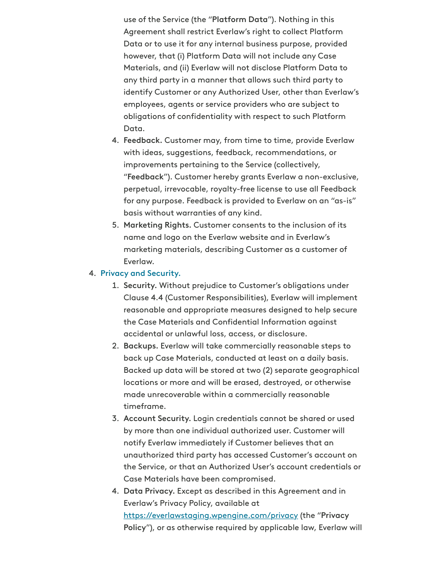use of the Service (the "Platform Data"). Nothing in this Agreement shall restrict Everlaw's right to collect Platform Data or to use it for any internal business purpose, provided however, that (i) Platform Data will not include any Case Materials, and (ii) Everlaw will not disclose Platform Data to any third party in a manner that allows such third party to identify Customer or any Authorized User, other than Everlaw's employees, agents or service providers who are subject to obligations of confidentiality with respect to such Platform Data.

- 4. Feedback. Customer may, from time to time, provide Everlaw with ideas, suggestions, feedback, recommendations, or improvements pertaining to the Service (collectively, "Feedback"). Customer hereby grants Everlaw a non-exclusive, perpetual, irrevocable, royalty-free license to use all Feedback for any purpose. Feedback is provided to Everlaw on an "as-is" basis without warranties of any kind.
- 5. Marketing Rights. Customer consents to the inclusion of its name and logo on the Everlaw website and in Everlaw's marketing materials, describing Customer as a customer of Everlaw.

### 4. Privacy and Security.

- 1. Security. Without prejudice to Customer's obligations under Clause 4.4 (Customer Responsibilities), Everlaw will implement reasonable and appropriate measures designed to help secure the Case Materials and Confidential Information against accidental or unlawful loss, access, or disclosure.
- 2. Backups. Everlaw will take commercially reasonable steps to back up Case Materials, conducted at least on a daily basis. Backed up data will be stored at two (2) separate geographical locations or more and will be erased, destroyed, or otherwise made unrecoverable within a commercially reasonable timeframe.
- 3. Account Security. Login credentials cannot be shared or used by more than one individual authorized user. Customer will notify Everlaw immediately if Customer believes that an unauthorized third party has accessed Customer's account on the Service, or that an Authorized User's account credentials or Case Materials have been compromised.
- 4. Data Privacy. Except as described in this Agreement and in Everlaw's Privacy Policy, available at [https://everlawstaging.wpengine.com/privacy](https://everlawstaging.wpengine.com/legal/terms-of-service/www.everlaw.com/privacy) (the "Privacy Policy"), or as otherwise required by applicable law, Everlaw will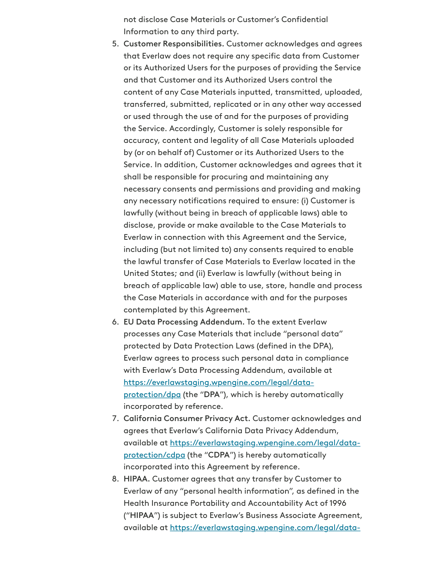not disclose Case Materials or Customer's Confidential Information to any third party.

- 5. Customer Responsibilities. Customer acknowledges and agrees that Everlaw does not require any specific data from Customer or its Authorized Users for the purposes of providing the Service and that Customer and its Authorized Users control the content of any Case Materials inputted, transmitted, uploaded, transferred, submitted, replicated or in any other way accessed or used through the use of and for the purposes of providing the Service. Accordingly, Customer is solely responsible for accuracy, content and legality of all Case Materials uploaded by (or on behalf of) Customer or its Authorized Users to the Service. In addition, Customer acknowledges and agrees that it shall be responsible for procuring and maintaining any necessary consents and permissions and providing and making any necessary notifications required to ensure: (i) Customer is lawfully (without being in breach of applicable laws) able to disclose, provide or make available to the Case Materials to Everlaw in connection with this Agreement and the Service, including (but not limited to) any consents required to enable the lawful transfer of Case Materials to Everlaw located in the United States; and (ii) Everlaw is lawfully (without being in breach of applicable law) able to use, store, handle and process the Case Materials in accordance with and for the purposes contemplated by this Agreement.
- 6. EU Data Processing Addendum. To the extent Everlaw processes any Case Materials that include "personal data" protected by Data Protection Laws (defined in the DPA), Everlaw agrees to process such personal data in compliance with Everlaw's Data Processing Addendum, available at [https://everlawstaging.wpengine.com/legal/data](https://everlawstaging.wpengine.com/legal/data-protection/#data-processing-addendum)protection/dpa (the "DPA"), which is hereby automatically incorporated by reference.
- 7. California Consumer Privacy Act. Customer acknowledges and agrees that Everlaw's California Data Privacy Addendum, [available at https://everlawstaging.wpengine.com/legal/data](https://everlawstaging.wpengine.com/legal/data-protection/#california-data-privacy-addendum)protection/cdpa (the "CDPA") is hereby automatically incorporated into this Agreement by reference.
- 8. HIPAA. Customer agrees that any transfer by Customer to Everlaw of any "personal health information", as defined in the Health Insurance Portability and Accountability Act of 1996 ("HIPAA") is subject to Everlaw's Business Associate Agreement, [available at https://everlawstaging.wpengine.com/legal/data-](https://everlawstaging.wpengine.com/legal/data-protection/#business-associate-agreement)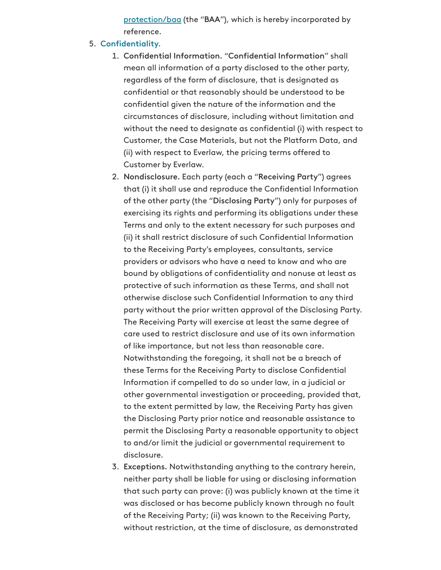[protection/baa \(the "BAA"\), which is hereby incorporated by](https://everlawstaging.wpengine.com/legal/data-protection/#business-associate-agreement) reference.

- 5. Confidentiality.
	- 1. Confidential Information. "Confidential Information" shall mean all information of a party disclosed to the other party, regardless of the form of disclosure, that is designated as confidential or that reasonably should be understood to be confidential given the nature of the information and the circumstances of disclosure, including without limitation and without the need to designate as confidential (i) with respect to Customer, the Case Materials, but not the Platform Data, and (ii) with respect to Everlaw, the pricing terms offered to Customer by Everlaw.
	- 2. Nondisclosure. Each party (each a "Receiving Party") agrees that (i) it shall use and reproduce the Confidential Information of the other party (the "Disclosing Party") only for purposes of exercising its rights and performing its obligations under these Terms and only to the extent necessary for such purposes and (ii) it shall restrict disclosure of such Confidential Information to the Receiving Party's employees, consultants, service providers or advisors who have a need to know and who are bound by obligations of confidentiality and nonuse at least as protective of such information as these Terms, and shall not otherwise disclose such Confidential Information to any third party without the prior written approval of the Disclosing Party. The Receiving Party will exercise at least the same degree of care used to restrict disclosure and use of its own information of like importance, but not less than reasonable care. Notwithstanding the foregoing, it shall not be a breach of these Terms for the Receiving Party to disclose Confidential Information if compelled to do so under law, in a judicial or other governmental investigation or proceeding, provided that, to the extent permitted by law, the Receiving Party has given the Disclosing Party prior notice and reasonable assistance to permit the Disclosing Party a reasonable opportunity to object to and/or limit the judicial or governmental requirement to disclosure.
	- 3. Exceptions. Notwithstanding anything to the contrary herein, neither party shall be liable for using or disclosing information that such party can prove: (i) was publicly known at the time it was disclosed or has become publicly known through no fault of the Receiving Party; (ii) was known to the Receiving Party, without restriction, at the time of disclosure, as demonstrated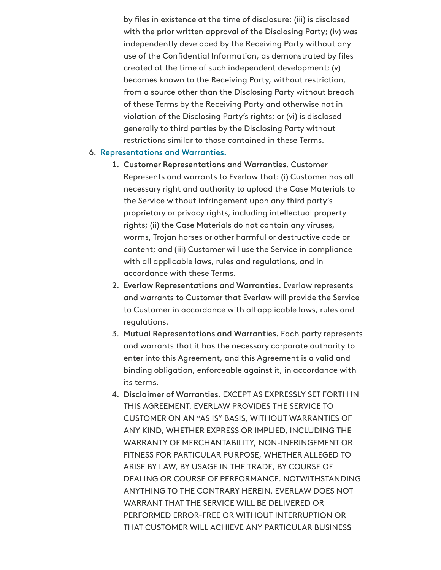by files in existence at the time of disclosure; (iii) is disclosed with the prior written approval of the Disclosing Party; (iv) was independently developed by the Receiving Party without any use of the Confidential Information, as demonstrated by files created at the time of such independent development; (v) becomes known to the Receiving Party, without restriction, from a source other than the Disclosing Party without breach of these Terms by the Receiving Party and otherwise not in violation of the Disclosing Party's rights; or (vi) is disclosed generally to third parties by the Disclosing Party without restrictions similar to those contained in these Terms.

### 6. Representations and Warranties.

- 1. Customer Representations and Warranties. Customer Represents and warrants to Everlaw that: (i) Customer has all necessary right and authority to upload the Case Materials to the Service without infringement upon any third party's proprietary or privacy rights, including intellectual property rights; (ii) the Case Materials do not contain any viruses, worms, Trojan horses or other harmful or destructive code or content; and (iii) Customer will use the Service in compliance with all applicable laws, rules and regulations, and in accordance with these Terms.
- 2. Everlaw Representations and Warranties. Everlaw represents and warrants to Customer that Everlaw will provide the Service to Customer in accordance with all applicable laws, rules and regulations.
- 3. Mutual Representations and Warranties. Each party represents and warrants that it has the necessary corporate authority to enter into this Agreement, and this Agreement is a valid and binding obligation, enforceable against it, in accordance with its terms.
- 4. Disclaimer of Warranties. EXCEPT AS EXPRESSLY SET FORTH IN THIS AGREEMENT, EVERLAW PROVIDES THE SERVICE TO CUSTOMER ON AN "AS IS" BASIS, WITHOUT WARRANTIES OF ANY KIND, WHETHER EXPRESS OR IMPLIED, INCLUDING THE WARRANTY OF MERCHANTABILITY, NON-INFRINGEMENT OR FITNESS FOR PARTICULAR PURPOSE, WHETHER ALLEGED TO ARISE BY LAW, BY USAGE IN THE TRADE, BY COURSE OF DEALING OR COURSE OF PERFORMANCE. NOTWITHSTANDING ANYTHING TO THE CONTRARY HEREIN, EVERLAW DOES NOT WARRANT THAT THE SERVICE WILL BE DELIVERED OR PERFORMED ERROR-FREE OR WITHOUT INTERRUPTION OR THAT CUSTOMER WILL ACHIEVE ANY PARTICULAR BUSINESS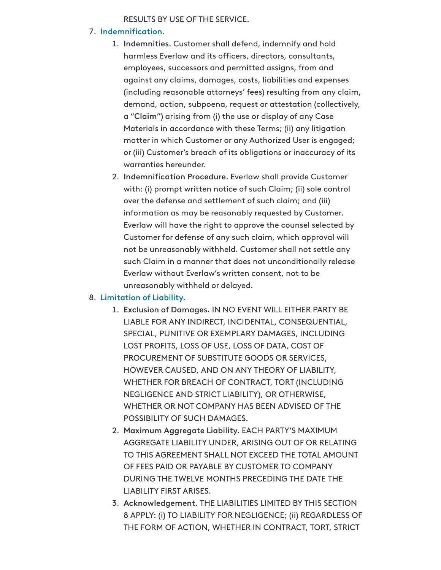# RESULTS BY USE OF THE SERVICE.

# 7. Indemnification.

- 1. Indemnities. Customer shall defend, indemnify and hold harmless Everlaw and its officers, directors, consultants, employees, successors and permitted assigns, from and against any claims, damages, costs, liabilities and expenses (including reasonable attorneys' fees) resulting from any claim, demand, action, subpoena, request or attestation (collectively, a "Claim") arising from (i) the use or display of any Case Materials in accordance with these Terms; (ii) any litigation matter in which Customer or any Authorized User is engaged; or (iii) Customer's breach of its obligations or inaccuracy of its warranties hereunder.
- 2. Indemnification Procedure. Everlaw shall provide Customer with: (i) prompt written notice of such Claim; (ii) sole control over the defense and settlement of such claim; and (iii) information as may be reasonably requested by Customer. Everlaw will have the right to approve the counsel selected by Customer for defense of any such claim, which approval will not be unreasonably withheld. Customer shall not settle any such Claim in a manner that does not unconditionally release Everlaw without Everlaw's written consent, not to be unreasonably withheld or delayed.

### 8. Limitation of Liability.

- 1. Exclusion of Damages. IN NO EVENT WILL EITHER PARTY BE LIABLE FOR ANY INDIRECT, INCIDENTAL, CONSEQUENTIAL, SPECIAL, PUNITIVE OR EXEMPLARY DAMAGES, INCLUDING LOST PROFITS, LOSS OF USE, LOSS OF DATA, COST OF PROCUREMENT OF SUBSTITUTE GOODS OR SERVICES, HOWEVER CAUSED, AND ON ANY THEORY OF LIABILITY, WHETHER FOR BREACH OF CONTRACT, TORT (INCLUDING NEGLIGENCE AND STRICT LIABILITY), OR OTHERWISE, WHETHER OR NOT COMPANY HAS BEEN ADVISED OF THE POSSIBILITY OF SUCH DAMAGES.
- 2. Maximum Aggregate Liability. EACH PARTY'S MAXIMUM AGGREGATE LIABILITY UNDER, ARISING OUT OF OR RELATING TO THIS AGREEMENT SHALL NOT EXCEED THE TOTAL AMOUNT OF FEES PAID OR PAYABLE BY CUSTOMER TO COMPANY DURING THE TWELVE MONTHS PRECEDING THE DATE THE LIABILITY FIRST ARISES.
- 3. Acknowledgement. THE LIABILITIES LIMITED BY THIS SECTION 8 APPLY: (i) TO LIABILITY FOR NEGLIGENCE; (ii) REGARDLESS OF THE FORM OF ACTION, WHETHER IN CONTRACT, TORT, STRICT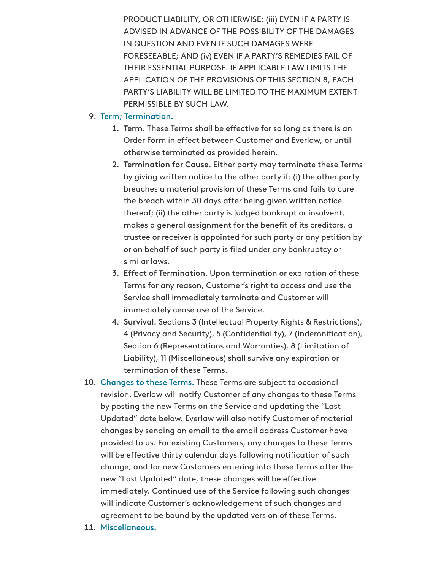PRODUCT LIABILITY, OR OTHERWISE; (iii) EVEN IF A PARTY IS ADVISED IN ADVANCE OF THE POSSIBILITY OF THE DAMAGES IN QUESTION AND EVEN IF SUCH DAMAGES WERE FORESEEABLE; AND (iv) EVEN IF A PARTY'S REMEDIES FAIL OF THEIR ESSENTIAL PURPOSE. IF APPLICABLE LAW LIMITS THE APPLICATION OF THE PROVISIONS OF THIS SECTION 8, EACH PARTY'S LIABILITY WILL BE LIMITED TO THE MAXIMUM EXTENT PERMISSIBLE BY SUCH LAW.

# 9. Term; Termination.

- 1. Term. These Terms shall be effective for so long as there is an Order Form in effect between Customer and Everlaw, or until otherwise terminated as provided herein.
- 2. Termination for Cause. Either party may terminate these Terms by giving written notice to the other party if: (i) the other party breaches a material provision of these Terms and fails to cure the breach within 30 days after being given written notice thereof; (ii) the other party is judged bankrupt or insolvent, makes a general assignment for the benefit of its creditors, a trustee or receiver is appointed for such party or any petition by or on behalf of such party is filed under any bankruptcy or similar laws.
- 3. Effect of Termination. Upon termination or expiration of these Terms for any reason, Customer's right to access and use the Service shall immediately terminate and Customer will immediately cease use of the Service.
- 4. Survival. Sections 3 (Intellectual Property Rights & Restrictions), 4 (Privacy and Security), 5 (Confidentiality), 7 (Indemnification), Section 6 (Representations and Warranties), 8 (Limitation of Liability), 11 (Miscellaneous) shall survive any expiration or termination of these Terms.
- 10. Changes to these Terms. These Terms are subject to occasional revision. Everlaw will notify Customer of any changes to these Terms by posting the new Terms on the Service and updating the "Last Updated" date below. Everlaw will also notify Customer of material changes by sending an email to the email address Customer have provided to us. For existing Customers, any changes to these Terms will be effective thirty calendar days following notification of such change, and for new Customers entering into these Terms after the new "Last Updated" date, these changes will be effective immediately. Continued use of the Service following such changes will indicate Customer's acknowledgement of such changes and agreement to be bound by the updated version of these Terms.
- 11. Miscellaneous.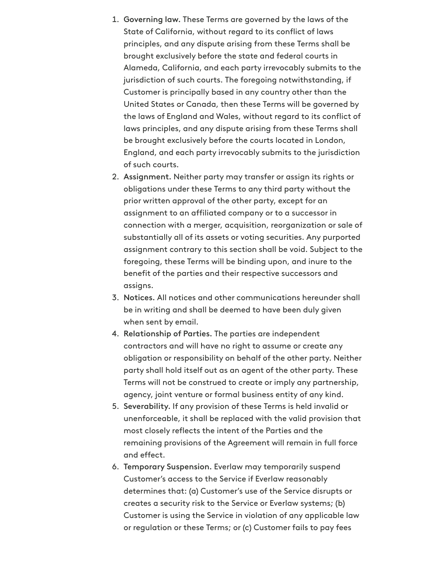- 1. Governing law. These Terms are governed by the laws of the State of California, without regard to its conflict of laws principles, and any dispute arising from these Terms shall be brought exclusively before the state and federal courts in Alameda, California, and each party irrevocably submits to the jurisdiction of such courts. The foregoing notwithstanding, if Customer is principally based in any country other than the United States or Canada, then these Terms will be governed by the laws of England and Wales, without regard to its conflict of laws principles, and any dispute arising from these Terms shall be brought exclusively before the courts located in London, England, and each party irrevocably submits to the jurisdiction of such courts.
- 2. Assignment. Neither party may transfer or assign its rights or obligations under these Terms to any third party without the prior written approval of the other party, except for an assignment to an affiliated company or to a successor in connection with a merger, acquisition, reorganization or sale of substantially all of its assets or voting securities. Any purported assignment contrary to this section shall be void. Subject to the foregoing, these Terms will be binding upon, and inure to the benefit of the parties and their respective successors and assigns.
- 3. Notices. All notices and other communications hereunder shall be in writing and shall be deemed to have been duly given when sent by email.
- 4. Relationship of Parties. The parties are independent contractors and will have no right to assume or create any obligation or responsibility on behalf of the other party. Neither party shall hold itself out as an agent of the other party. These Terms will not be construed to create or imply any partnership, agency, joint venture or formal business entity of any kind.
- 5. Severability. If any provision of these Terms is held invalid or unenforceable, it shall be replaced with the valid provision that most closely reflects the intent of the Parties and the remaining provisions of the Agreement will remain in full force and effect.
- 6. Temporary Suspension. Everlaw may temporarily suspend Customer's access to the Service if Everlaw reasonably determines that: (a) Customer's use of the Service disrupts or creates a security risk to the Service or Everlaw systems; (b) Customer is using the Service in violation of any applicable law or regulation or these Terms; or (c) Customer fails to pay fees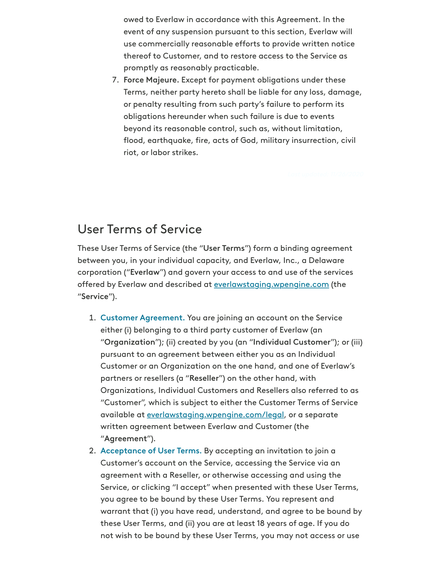owed to Everlaw in accordance with this Agreement. In the event of any suspension pursuant to this section, Everlaw will use commercially reasonable efforts to provide written notice thereof to Customer, and to restore access to the Service as promptly as reasonably practicable.

7. Force Majeure. Except for payment obligations under these Terms, neither party hereto shall be liable for any loss, damage, or penalty resulting from such party's failure to perform its obligations hereunder when such failure is due to events beyond its reasonable control, such as, without limitation, flood, earthquake, fire, acts of God, military insurrection, civil riot, or labor strikes.

# User Terms of Service

These User Terms of Service (the "User Terms") form a binding agreement between you, in your individual capacity, and Everlaw, Inc., a Delaware corporation ("Everlaw") and govern your access to and use of the services offered by Everlaw and described at [everlawstaging.wpengine.com](https://everlawstaging.wpengine.com/) (the "Service").

- 1. Customer Agreement. You are joining an account on the Service either (i) belonging to a third party customer of Everlaw (an "Organization"); (ii) created by you (an "Individual Customer"); or (iii) pursuant to an agreement between either you as an Individual Customer or an Organization on the one hand, and one of Everlaw's partners or resellers (a "Reseller") on the other hand, with Organizations, Individual Customers and Resellers also referred to as "Customer", which is subject to either the Customer Terms of Service available at [everlawstaging.wpengine.com/legal](https://everlawstaging.wpengine.com/legal), or a separate written agreement between Everlaw and Customer (the "Agreement").
- 2. Acceptance of User Terms. By accepting an invitation to join a Customer's account on the Service, accessing the Service via an agreement with a Reseller, or otherwise accessing and using the Service, or clicking "I accept" when presented with these User Terms, you agree to be bound by these User Terms. You represent and warrant that (i) you have read, understand, and agree to be bound by these User Terms, and (ii) you are at least 18 years of age. If you do not wish to be bound by these User Terms, you may not access or use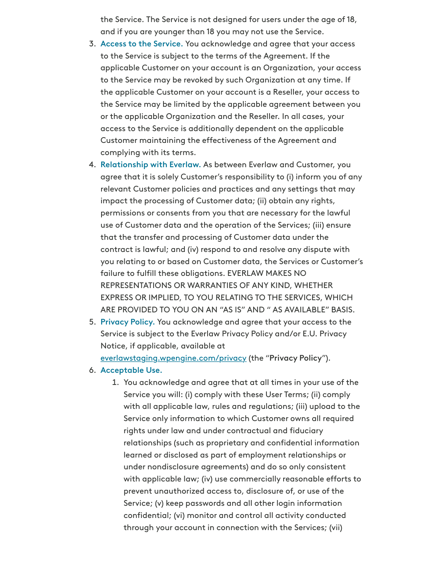the Service. The Service is not designed for users under the age of 18, and if you are younger than 18 you may not use the Service.

- 3. Access to the Service. You acknowledge and agree that your access to the Service is subject to the terms of the Agreement. If the applicable Customer on your account is an Organization, your access to the Service may be revoked by such Organization at any time. If the applicable Customer on your account is a Reseller, your access to the Service may be limited by the applicable agreement between you or the applicable Organization and the Reseller. In all cases, your access to the Service is additionally dependent on the applicable Customer maintaining the effectiveness of the Agreement and complying with its terms.
- 4. Relationship with Everlaw. As between Everlaw and Customer, you agree that it is solely Customer's responsibility to (i) inform you of any relevant Customer policies and practices and any settings that may impact the processing of Customer data; (ii) obtain any rights, permissions or consents from you that are necessary for the lawful use of Customer data and the operation of the Services; (iii) ensure that the transfer and processing of Customer data under the contract is lawful; and (iv) respond to and resolve any dispute with you relating to or based on Customer data, the Services or Customer's failure to fulfill these obligations. EVERLAW MAKES NO REPRESENTATIONS OR WARRANTIES OF ANY KIND, WHETHER EXPRESS OR IMPLIED, TO YOU RELATING TO THE SERVICES, WHICH ARE PROVIDED TO YOU ON AN "AS IS" AND " AS AVAILABLE" BASIS.
- 5. Privacy Policy. You acknowledge and agree that your access to the Service is subject to the Everlaw Privacy Policy and/or E.U. Privacy Notice, if applicable, available at

[everlawstaging.wpengine.com/privacy](https://everlawstaging.wpengine.com/privacy) (the "Privacy Policy").

- 6. Acceptable Use.
	- 1. You acknowledge and agree that at all times in your use of the Service you will: (i) comply with these User Terms; (ii) comply with all applicable law, rules and regulations; (iii) upload to the Service only information to which Customer owns all required rights under law and under contractual and fiduciary relationships (such as proprietary and confidential information learned or disclosed as part of employment relationships or under nondisclosure agreements) and do so only consistent with applicable law; (iv) use commercially reasonable efforts to prevent unauthorized access to, disclosure of, or use of the Service; (v) keep passwords and all other login information confidential; (vi) monitor and control all activity conducted through your account in connection with the Services; (vii)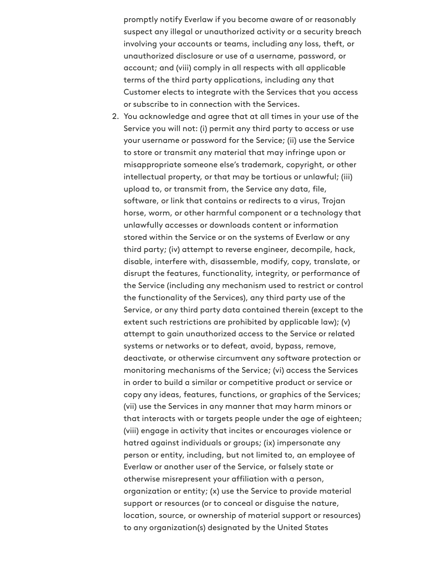promptly notify Everlaw if you become aware of or reasonably suspect any illegal or unauthorized activity or a security breach involving your accounts or teams, including any loss, theft, or unauthorized disclosure or use of a username, password, or account; and (viii) comply in all respects with all applicable terms of the third party applications, including any that Customer elects to integrate with the Services that you access or subscribe to in connection with the Services.

2. You acknowledge and agree that at all times in your use of the Service you will not: (i) permit any third party to access or use your username or password for the Service; (ii) use the Service to store or transmit any material that may infringe upon or misappropriate someone else's trademark, copyright, or other intellectual property, or that may be tortious or unlawful; (iii) upload to, or transmit from, the Service any data, file, software, or link that contains or redirects to a virus, Trojan horse, worm, or other harmful component or a technology that unlawfully accesses or downloads content or information stored within the Service or on the systems of Everlaw or any third party; (iv) attempt to reverse engineer, decompile, hack, disable, interfere with, disassemble, modify, copy, translate, or disrupt the features, functionality, integrity, or performance of the Service (including any mechanism used to restrict or control the functionality of the Services), any third party use of the Service, or any third party data contained therein (except to the extent such restrictions are prohibited by applicable law); (v) attempt to gain unauthorized access to the Service or related systems or networks or to defeat, avoid, bypass, remove, deactivate, or otherwise circumvent any software protection or monitoring mechanisms of the Service; (vi) access the Services in order to build a similar or competitive product or service or copy any ideas, features, functions, or graphics of the Services; (vii) use the Services in any manner that may harm minors or that interacts with or targets people under the age of eighteen; (viii) engage in activity that incites or encourages violence or hatred against individuals or groups; (ix) impersonate any person or entity, including, but not limited to, an employee of Everlaw or another user of the Service, or falsely state or otherwise misrepresent your affiliation with a person, organization or entity; (x) use the Service to provide material support or resources (or to conceal or disguise the nature, location, source, or ownership of material support or resources) to any organization(s) designated by the United States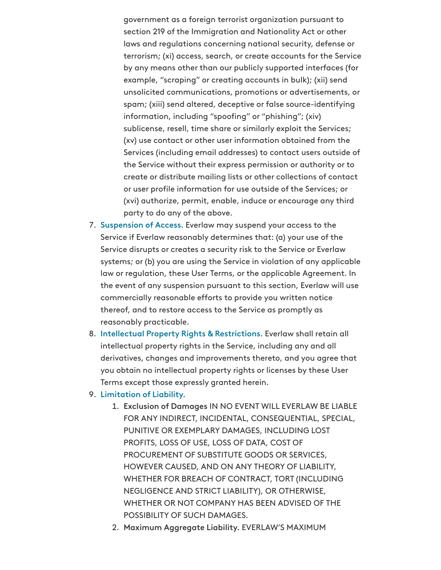government as a foreign terrorist organization pursuant to section 219 of the Immigration and Nationality Act or other laws and regulations concerning national security, defense or terrorism; (xi) access, search, or create accounts for the Service by any means other than our publicly supported interfaces (for example, "scraping" or creating accounts in bulk); (xii) send unsolicited communications, promotions or advertisements, or spam; (xiii) send altered, deceptive or false source-identifying information, including "spoofing" or "phishing"; (xiv) sublicense, resell, time share or similarly exploit the Services; (xv) use contact or other user information obtained from the Services (including email addresses) to contact users outside of the Service without their express permission or authority or to create or distribute mailing lists or other collections of contact or user profile information for use outside of the Services; or (xvi) authorize, permit, enable, induce or encourage any third party to do any of the above.

- 7. Suspension of Access. Everlaw may suspend your access to the Service if Everlaw reasonably determines that: (a) your use of the Service disrupts or creates a security risk to the Service or Everlaw systems; or (b) you are using the Service in violation of any applicable law or regulation, these User Terms, or the applicable Agreement. In the event of any suspension pursuant to this section, Everlaw will use commercially reasonable efforts to provide you written notice thereof, and to restore access to the Service as promptly as reasonably practicable.
- 8. Intellectual Property Rights & Restrictions. Everlaw shall retain all intellectual property rights in the Service, including any and all derivatives, changes and improvements thereto, and you agree that you obtain no intellectual property rights or licenses by these User Terms except those expressly granted herein.
- 9. Limitation of Liability.
	- 1. Exclusion of Damages IN NO EVENT WILL EVERLAW BE LIABLE FOR ANY INDIRECT, INCIDENTAL, CONSEQUENTIAL, SPECIAL, PUNITIVE OR EXEMPLARY DAMAGES, INCLUDING LOST PROFITS, LOSS OF USE, LOSS OF DATA, COST OF PROCUREMENT OF SUBSTITUTE GOODS OR SERVICES, HOWEVER CAUSED, AND ON ANY THEORY OF LIABILITY, WHETHER FOR BREACH OF CONTRACT, TORT (INCLUDING NEGLIGENCE AND STRICT LIABILITY), OR OTHERWISE, WHETHER OR NOT COMPANY HAS BEEN ADVISED OF THE POSSIBILITY OF SUCH DAMAGES.
	- 2. Maximum Aggregate Liability. EVERLAW'S MAXIMUM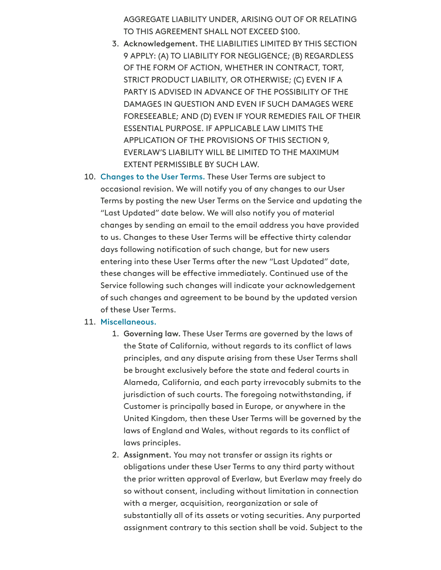AGGREGATE LIABILITY UNDER, ARISING OUT OF OR RELATING TO THIS AGREEMENT SHALL NOT EXCEED \$100.

- 3. Acknowledgement. THE LIABILITIES LIMITED BY THIS SECTION 9 APPLY: (A) TO LIABILITY FOR NEGLIGENCE; (B) REGARDLESS OF THE FORM OF ACTION, WHETHER IN CONTRACT, TORT, STRICT PRODUCT LIABILITY, OR OTHERWISE; (C) EVEN IF A PARTY IS ADVISED IN ADVANCE OF THE POSSIBILITY OF THE DAMAGES IN QUESTION AND EVEN IF SUCH DAMAGES WERE FORESEEABLE; AND (D) EVEN IF YOUR REMEDIES FAIL OF THEIR ESSENTIAL PURPOSE. IF APPLICABLE LAW LIMITS THE APPLICATION OF THE PROVISIONS OF THIS SECTION 9, EVERLAW'S LIABILITY WILL BE LIMITED TO THE MAXIMUM EXTENT PERMISSIBLE BY SUCH LAW.
- 10. Changes to the User Terms. These User Terms are subject to occasional revision. We will notify you of any changes to our User Terms by posting the new User Terms on the Service and updating the "Last Updated" date below. We will also notify you of material changes by sending an email to the email address you have provided to us. Changes to these User Terms will be effective thirty calendar days following notification of such change, but for new users entering into these User Terms after the new "Last Updated" date, these changes will be effective immediately. Continued use of the Service following such changes will indicate your acknowledgement of such changes and agreement to be bound by the updated version of these User Terms.

#### 11. Miscellaneous.

- 1. Governing law. These User Terms are governed by the laws of the State of California, without regards to its conflict of laws principles, and any dispute arising from these User Terms shall be brought exclusively before the state and federal courts in Alameda, California, and each party irrevocably submits to the jurisdiction of such courts. The foregoing notwithstanding, if Customer is principally based in Europe, or anywhere in the United Kingdom, then these User Terms will be governed by the laws of England and Wales, without regards to its conflict of laws principles.
- 2. Assignment. You may not transfer or assign its rights or obligations under these User Terms to any third party without the prior written approval of Everlaw, but Everlaw may freely do so without consent, including without limitation in connection with a merger, acquisition, reorganization or sale of substantially all of its assets or voting securities. Any purported assignment contrary to this section shall be void. Subject to the